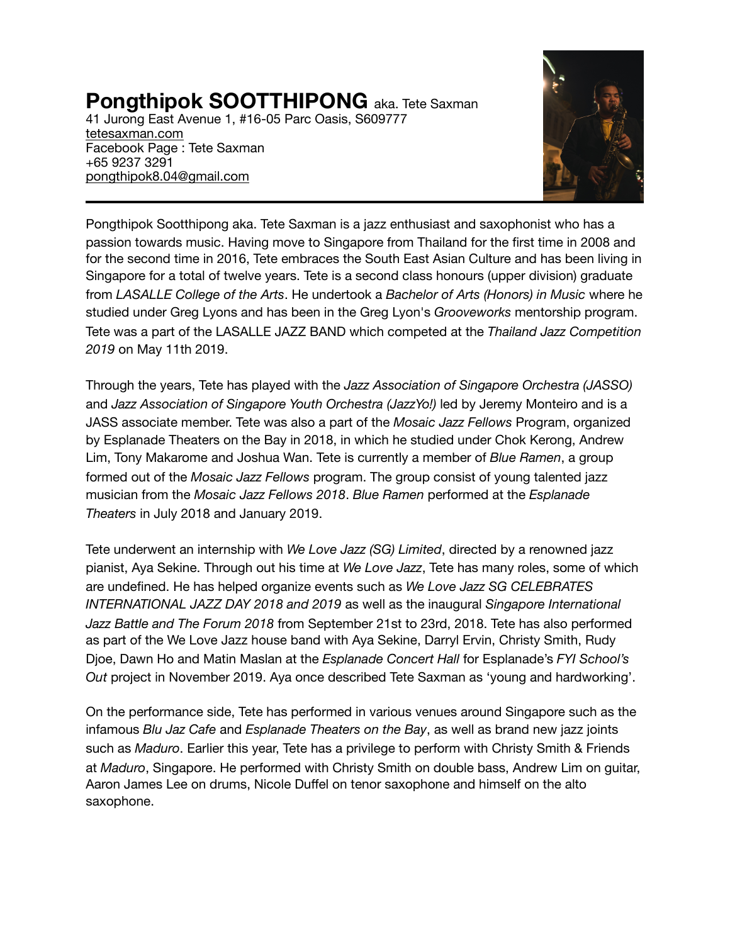**Pongthipok SOOTTHIPONG** aka. Tete Saxman

41 Jurong East Avenue 1, #16-05 Parc Oasis, S609777 [tetesaxman.com](http://tetesaxman.com) Facebook Page : Tete Saxman +65 9237 3291 [pongthipok8.04@gmail.com](mailto:pongthipok8.04@gmail.com)



Pongthipok Sootthipong aka. Tete Saxman is a jazz enthusiast and saxophonist who has a passion towards music. Having move to Singapore from Thailand for the first time in 2008 and for the second time in 2016, Tete embraces the South East Asian Culture and has been living in Singapore for a total of twelve years. Tete is a second class honours (upper division) graduate from *LASALLE College of the Arts*. He undertook a *Bachelor of Arts (Honors) in Music* where he studied under Greg Lyons and has been in the Greg Lyon's *Grooveworks* mentorship program. Tete was a part of the LASALLE JAZZ BAND which competed at the *Thailand Jazz Competition 2019* on May 11th 2019.

Through the years, Tete has played with the *Jazz Association of Singapore Orchestra (JASSO)*  and *Jazz Association of Singapore Youth Orchestra (JazzYo!)* led by Jeremy Monteiro and is a JASS associate member. Tete was also a part of the *Mosaic Jazz Fellows* Program, organized by Esplanade Theaters on the Bay in 2018, in which he studied under Chok Kerong, Andrew Lim, Tony Makarome and Joshua Wan. Tete is currently a member of *Blue Ramen*, a group formed out of the *Mosaic Jazz Fellows* program. The group consist of young talented jazz musician from the *Mosaic Jazz Fellows 2018*. *Blue Ramen* performed at the *Esplanade Theaters* in July 2018 and January 2019.

Tete underwent an internship with *We Love Jazz (SG) Limited*, directed by a renowned jazz pianist, Aya Sekine. Through out his time at *We Love Jazz*, Tete has many roles, some of which are undefined. He has helped organize events such as *We Love Jazz SG CELEBRATES INTERNATIONAL JAZZ DAY 2018 and 2019* as well as the inaugural *Singapore International Jazz Battle and The Forum 2018* from September 21st to 23rd, 2018. Tete has also performed as part of the We Love Jazz house band with Aya Sekine, Darryl Ervin, Christy Smith, Rudy Djoe, Dawn Ho and Matin Maslan at the *Esplanade Concert Hall* for Esplanade's *FYI School's Out* project in November 2019. Aya once described Tete Saxman as 'young and hardworking'.

On the performance side, Tete has performed in various venues around Singapore such as the infamous *Blu Jaz Cafe* and *Esplanade Theaters on the Bay*, as well as brand new jazz joints such as *Maduro*. Earlier this year, Tete has a privilege to perform with Christy Smith & Friends at *Maduro*, Singapore. He performed with Christy Smith on double bass, Andrew Lim on guitar, Aaron James Lee on drums, Nicole Duffel on tenor saxophone and himself on the alto saxophone.